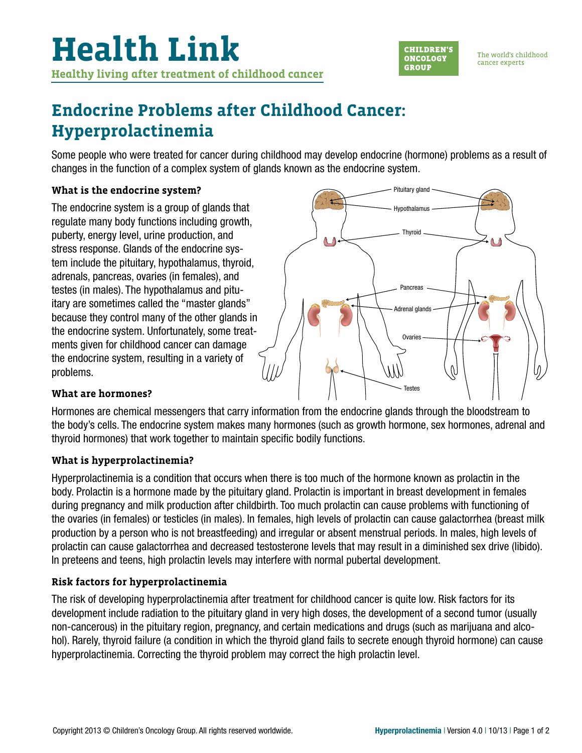

The world's childhood cancer experts

# **Endocrine Problems after Childhood Cancer: Hyperprolactinemia**

Some people who were treated for cancer during childhood may develop endocrine (hormone) problems as a result of changes in the function of a complex system of glands known as the endocrine system.

### **What is the endocrine system?**

The endocrine system is a group of glands that regulate many body functions including growth, puberty, energy level, urine production, and stress response. Glands of the endocrine system include the pituitary, hypothalamus, thyroid, adrenals, pancreas, ovaries (in females), and testes (in males). The hypothalamus and pituitary are sometimes called the "master glands" because they control many of the other glands in the endocrine system. Unfortunately, some treatments given for childhood cancer can damage the endocrine system, resulting in a variety of problems.



# **What are hormones?**

Hormones are chemical messengers that carry information from the endocrine glands through the bloodstream to the body's cells. The endocrine system makes many hormones (such as growth hormone, sex hormones, adrenal and thyroid hormones) that work together to maintain specific bodily functions.

# **What is hyperprolactinemia?**

Hyperprolactinemia is a condition that occurs when there is too much of the hormone known as prolactin in the body. Prolactin is a hormone made by the pituitary gland. Prolactin is important in breast development in females during pregnancy and milk production after childbirth. Too much prolactin can cause problems with functioning of the ovaries (in females) or testicles (in males). In females, high levels of prolactin can cause galactorrhea (breast milk production by a person who is not breastfeeding) and irregular or absent menstrual periods. In males, high levels of prolactin can cause galactorrhea and decreased testosterone levels that may result in a diminished sex drive (libido). In preteens and teens, high prolactin levels may interfere with normal pubertal development.

### **Risk factors for hyperprolactinemia**

The risk of developing hyperprolactinemia after treatment for childhood cancer is quite low. Risk factors for its development include radiation to the pituitary gland in very high doses, the development of a second tumor (usually non-cancerous) in the pituitary region, pregnancy, and certain medications and drugs (such as marijuana and alcohol). Rarely, thyroid failure (a condition in which the thyroid gland fails to secrete enough thyroid hormone) can cause hyperprolactinemia. Correcting the thyroid problem may correct the high prolactin level.